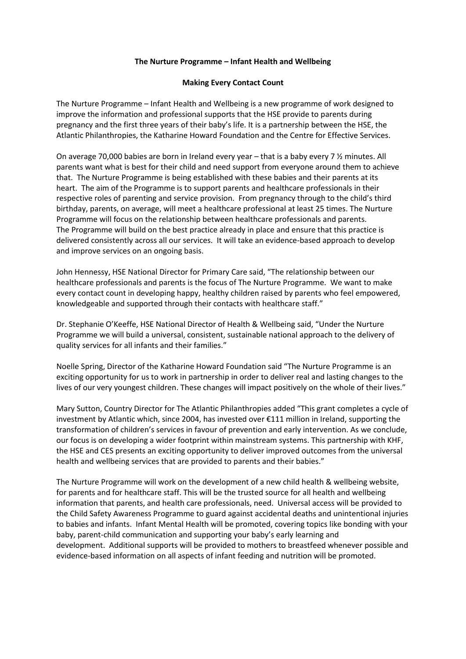## **The Nurture Programme – Infant Health and Wellbeing**

## **Making Every Contact Count**

The Nurture Programme – Infant Health and Wellbeing is a new programme of work designed to improve the information and professional supports that the HSE provide to parents during pregnancy and the first three years of their baby's life. It is a partnership between the HSE, the Atlantic Philanthropies, the Katharine Howard Foundation and the Centre for Effective Services.

On average 70,000 babies are born in Ireland every year – that is a baby every 7 ½ minutes. All parents want what is best for their child and need support from everyone around them to achieve that. The Nurture Programme is being established with these babies and their parents at its heart. The aim of the Programme is to support parents and healthcare professionals in their respective roles of parenting and service provision. From pregnancy through to the child's third birthday, parents, on average, will meet a healthcare professional at least 25 times. The Nurture Programme will focus on the relationship between healthcare professionals and parents. The Programme will build on the best practice already in place and ensure that this practice is delivered consistently across all our services. It will take an evidence-based approach to develop and improve services on an ongoing basis.

John Hennessy, HSE National Director for Primary Care said, "The relationship between our healthcare professionals and parents is the focus of The Nurture Programme. We want to make every contact count in developing happy, healthy children raised by parents who feel empowered, knowledgeable and supported through their contacts with healthcare staff."

Dr. Stephanie O'Keeffe, HSE National Director of Health & Wellbeing said, "Under the Nurture Programme we will build a universal, consistent, sustainable national approach to the delivery of quality services for all infants and their families."

Noelle Spring, Director of the Katharine Howard Foundation said "The Nurture Programme is an exciting opportunity for us to work in partnership in order to deliver real and lasting changes to the lives of our very youngest children. These changes will impact positively on the whole of their lives."

Mary Sutton, Country Director for The Atlantic Philanthropies added "This grant completes a cycle of investment by Atlantic which, since 2004, has invested over €111 million in Ireland, supporting the transformation of children's services in favour of prevention and early intervention. As we conclude, our focus is on developing a wider footprint within mainstream systems. This partnership with KHF, the HSE and CES presents an exciting opportunity to deliver improved outcomes from the universal health and wellbeing services that are provided to parents and their babies."

The Nurture Programme will work on the development of a new child health & wellbeing website, for parents and for healthcare staff. This will be the trusted source for all health and wellbeing information that parents, and health care professionals, need. Universal access will be provided to the Child Safety Awareness Programme to guard against accidental deaths and unintentional injuries to babies and infants. Infant Mental Health will be promoted, covering topics like bonding with your baby, parent-child communication and supporting your baby's early learning and development. Additional supports will be provided to mothers to breastfeed whenever possible and evidence-based information on all aspects of infant feeding and nutrition will be promoted.